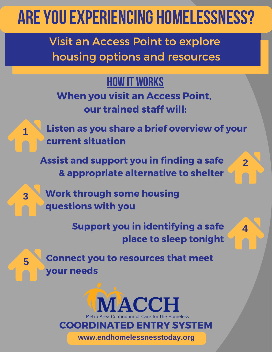## ARE YOU EXPERIENCING HOMELESSNESS?

Visit an Access Point to explore housing options and resources

**HOW IT WORKS** When you visit an Access Point, our trained staff will:



**3**

**5**

Listen as you share a brief overview of your current situation

Assist and support you in finding a safe & appropriate alternative to shelter

Work through some housing questions with you

> Support you in identifying a safe place to sleep tonight

**4**

**2**

Connect you to resources that meet your needs